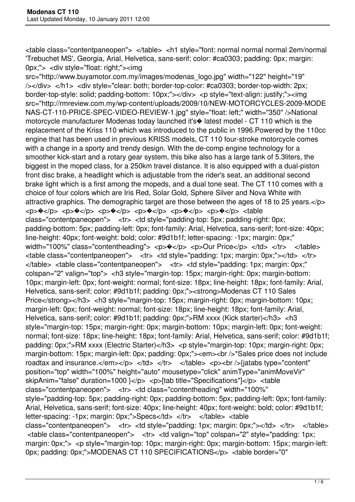<table class="contentpaneopen"> </table> <h1 style="font: normal normal normal 2em/normal 'Trebuchet MS', Georgia, Arial, Helvetica, sans-serif; color: #ca0303; padding: 0px; margin: 0px;"> <div style="float: right;"><img

src="http://www.buyamotor.com.my/images/modenas\_logo.jpg" width="122" height="19" /></div> </h1> <div style="clear: both; border-top-color: #ca0303; border-top-width: 2px; border-top-style: solid; padding-bottom: 10px;"></div> <p style="text-align: justify;"><img src="http://rmreview.com.my/wp-content/uploads/2009/10/NEW-MOTORCYCLES-2009-MODE NAS-CT-110-PRICE-SPEC-VIDEO-REVIEW-1.jpg" style="float: left;" width="350" />National motorcycle manufacturer Modenas today launched it's� latest model - CT 110 which is the replacement of the Kriss 110 which was introduced to the public in 1996.Powered by the 110cc engine that has been used in previous KRISS models, CT 110 four-stroke motorcycle comes with a change in a sporty and trendy design. With the de-comp engine technology for a smoother kick-start and a rotary gear system, this bike also has a large tank of 5.3liters, the biggest in the moped class, for a 250km travel distance. It is also equipped with a dual-piston front disc brake, a headlight which is adjustable from the rider's seat, an additional second brake light which is a first among the mopeds, and a dual tone seat. The CT 110 comes with a choice of four colors which are Iris Red, Solar Gold, Sphere Silver and Nova White with attractive graphics. The demographic target are those between the ages of 18 to 25 years.</p> <p>�</p> <p>�</p> <p>�</p> <p>�</p> <p>�</p> <p>�</p> <table class="contentpaneopen"> <tr> <td style="padding-top: 5px; padding-right: 0px; padding-bottom: 5px; padding-left: 0px; font-family: Arial, Helvetica, sans-serif; font-size: 40px; line-height: 40px; font-weight: bold; color: #9d1b1f; letter-spacing: -1px; margin: 0px;" width="100%" class="contentheading"> <p> $\sqrt{p}$  <p>Our Price</p> </td> </tr> </table>  $\lt$ table class="contentpaneopen">  $\lt$ tr>  $\lt$ td style="padding: 1px; margin: 0px;"> $\lt$ /td>  $\lt$ /tr> </table> <table class="contentpaneopen"> <tr> <td style="padding: 1px; margin: 0px;" colspan="2" valign="top"> <h3 style="margin-top: 15px; margin-right: 0px; margin-bottom: 10px; margin-left: 0px; font-weight: normal; font-size: 18px; line-height: 18px; font-family: Arial, Helvetica, sans-serif; color: #9d1b1f; padding: 0px;"><strong>Modenas CT 110 Sales Price</strong></h3> <h3 style="margin-top: 15px; margin-right: 0px; margin-bottom: 10px; margin-left: 0px; font-weight: normal; font-size: 18px; line-height: 18px; font-family: Arial, Helvetica, sans-serif; color: #9d1b1f; padding: 0px;">RM xxxx (Kick starter)</h3> <h3 style="margin-top: 15px; margin-right: 0px; margin-bottom: 10px; margin-left: 0px; font-weight: normal; font-size: 18px; line-height: 18px; font-family: Arial, Helvetica, sans-serif; color: #9d1b1f; padding: 0px;">RM xxxx (Electric Starter)</h3> <p style="margin-top: 10px; margin-right: 0px; margin-bottom: 15px; margin-left: 0px; padding: 0px;"><em><br />> $\gamma$ \*Sales price does not include roadtax and insurance.</em></p> </td> </tr> </table> <p>><br/>>br</iatabs type="content" position="top" width="100%" height="auto" mousetype="click" animType="animMoveVir" skipAnim="false" duration=1000 }</p> <p>[tab title="Specifications"]</p> <table class="contentpaneopen"> <tr> <td class="contentheading" width="100%" style="padding-top: 5px; padding-right: 0px; padding-bottom: 5px; padding-left: 0px; font-family: Arial, Helvetica, sans-serif; font-size: 40px; line-height: 40px; font-weight: bold; color: #9d1b1f; letter-spacing: -1px; margin: 0px;">Specs</td> </tr> </table> <table class="contentpaneopen"> <tr> <td style="padding: 1px; margin: 0px;"></td> </tr> </table> <table class="contentpaneopen"> <tr> <td valign="top" colspan="2" style="padding: 1px; margin: 0px;"> <p style="margin-top: 10px; margin-right: 0px; margin-bottom: 15px; margin-left; 0px; padding: 0px;">MODENAS CT 110 SPECIFICATIONS</p> <table border="0"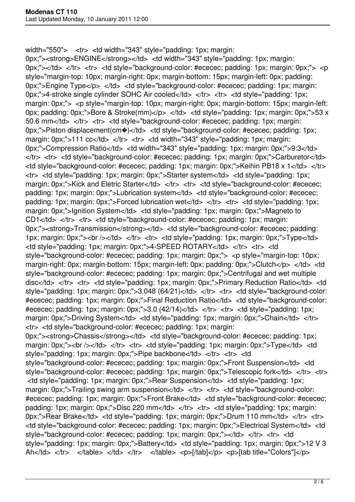width="550"> <tr> <td width="343" style="padding: 1px; margin:

0px;"> < strong>ENGINE </ strong> </ td> < td width="343" style="padding: 1px; margin: 0px;" $>\lt$ tto <  $\lt$ tr > tr <  $\lt$ etd style="background-color: #ececec; padding: 1px; margin: 0px;" >  $\lt$ ptstyle="margin-top: 10px; margin-right: 0px; margin-bottom: 15px; margin-left: 0px; padding: 0px;">Engine Type</p> </td> <td style="background-color: #ececec; padding: 1px; margin: 0px;">4-stroke single cylinder SOHC Air cooled</td> </tr> <tr> <td style="padding: 1px; margin: 0px;"> <p style="margin-top: 10px; margin-right: 0px; margin-bottom: 15px; margin-left: 0px; padding: 0px;">Bore & Stroke(mm)</p> </td> <td style="padding: 1px; margin: 0px;">53 x 50.6 mm</td> </tr> <tr> <td style="background-color: #ececec; padding: 1px; margin: 0px;">Piston displacement(cm $\bullet$ )</td> <td style="background-color: #ececec; padding: 1px; margin: 0px;">111 cc</td> </tr> <tr> <td width="343" style="padding: 1px; margin: 0px;">Compression Ratio</td> <td width="343" style="padding: 1px; margin: 0px;">9:3</td> </tr> <tr> <td style="background-color: #ececec; padding: 1px; margin: 0px;">Carburetor</td>  $\lt$ td style="background-color: #ececec; padding: 1px; margin: 0px;">Keihin PB18 x 1 $\lt$ /td>  $\lt$ /tr> <tr> <td style="padding: 1px; margin: 0px;">Starter system</td> <td style="padding: 1px; margin: 0px;">Kick and Eletric Starter</td> </tr> <tr> <td style="background-color: #ececec; padding: 1px; margin: 0px;">Lubrication system</td> <td style="background-color: #ececec; padding: 1px; margin: 0px;">Forced lubrication wet</td> </tr> <tr> <td style="padding: 1px; margin: 0px;">Ignition System</td> <td style="padding: 1px; margin: 0px;">Magneto to CD1</td> </tr> <tr> <td style="background-color: #ececec; padding: 1px; margin: 0px;"><strong>Transmission</strong></td> <td style="background-color: #ececec; padding: 1px; margin: 0px;"><br />>/td> </tr> <tr> <td style="padding: 1px; margin: 0px;">Type</td> <td style="padding: 1px; margin: 0px;">4-SPEED ROTARY</td> </tr> <tr> <td style="background-color: #ececec; padding: 1px; margin: 0px;"> <p style="margin-top: 10px; margin-right: 0px; margin-bottom: 15px; margin-left: 0px; padding: 0px;">Clutch</p> </td> <td style="background-color: #ececec; padding: 1px; margin: 0px;">Centrifugal and wet multiple disc</td> </tr> <tr> <td style="padding: 1px; margin: 0px;">Primary Reduction Ratio</td> <td style="padding: 1px; margin: 0px;">3.048 (64/21)</td> </tr> <tr> <td style="background-color: #ececec; padding: 1px; margin: 0px;">Final Reduction Ratio</td> <td style="background-color: #ececec; padding: 1px; margin: 0px;">3.0  $(42/14)$  </td> </tr> <tr> <td style="padding: 1px; margin: 0px;">Driving System</td> <td style="padding: 1px; margin: 0px;">Chain</td> </tr> <tr> <td style="background-color: #ececec; padding: 1px; margin: 0px;"> < strong>Chassis </ strong> </ td> < td style="background-color: #ececec; padding: 1px; margin: 0px;"><br />>>/>></td> </tr> <tr> <td style="padding: 1px; margin: 0px;">Type</td> <td style="padding: 1px; margin: 0px;">Pipe backbone</td> </tr> <tr> <td style="background-color: #ececec; padding: 1px; margin: 0px;">Front Suspension</td> <td style="background-color: #ececec; padding: 1px; margin: 0px;">Telescopic fork</td> </tr> <tr> <td style="padding: 1px; margin: 0px;">Rear Suspension</td> <td style="padding: 1px; margin: 0px;">Trailing swing arm suspension</td> </tr> <tr> <td style="background-color: #ececec; padding: 1px; margin: 0px;">Front Brake</td> <td style="background-color: #ececec; padding: 1px; margin: 0px;">Disc 220 mm</td> </tr> <tr> <td style="padding: 1px; margin: 0px;">Rear Brake</td> <td style="padding: 1px; margin: 0px;">Drum 110 mm</td> </tr> <tr> <td style="background-color: #ececec; padding: 1px; margin: 0px;">Electrical System</td> <td style="background-color: #ececec; padding: 1px; margin: 0px;"></td> </tr> <tr> <td style="padding: 1px; margin: 0px;">Battery</td> <td style="padding: 1px; margin: 0px;">12 V 3 Ah</td> </tr> </table> </td> </td> </td> </table> <p>[/tab]</p> <p>[tab title="Colors"]</p>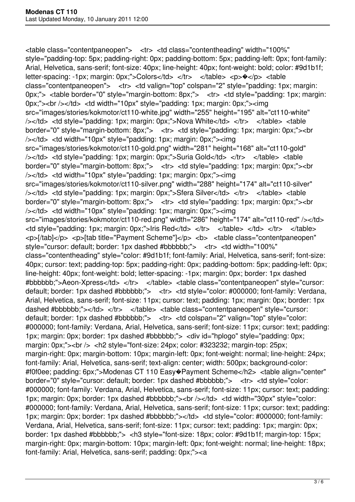<table class="contentpaneopen"> <tr> <td class="contentheading" width="100%" style="padding-top: 5px; padding-right: 0px; padding-bottom: 5px; padding-left: 0px; font-family: Arial, Helvetica, sans-serif; font-size: 40px; line-height: 40px; font-weight: bold; color: #9d1b1f; letter-spacing: -1px; margin: 0px;">Colors</td> </tr> </table> <p> $\diamond$ </p> <table class="contentpaneopen"> <tr> <td valign="top" colspan="2" style="padding: 1px; margin: 0px;"> <table border="0" style="margin-bottom: 8px;"> <tr> <td style="padding: 1px; margin: 0px;"> < br /> </td> <td width="10px" style="padding: 1px; margin: 0px;"> <img src="images/stories/kokmotor/ct110-white.jpg" width="255" height="195" alt="ct110-white" /></td> <td style="padding: 1px; margin: 0px;">Nova White</td> </tr> </table> <table border="0" style="margin-bottom: 8px;"> <tr> <td style="padding: 1px; margin: 0px;"><br /></td> <td width="10px" style="padding: 1px; margin: 0px;"><img src="images/stories/kokmotor/ct110-gold.png" width="281" height="168" alt="ct110-gold" /></td> <td style="padding: 1px; margin: 0px;">Suria Gold</td> </tr> </table> <table border="0" style="margin-bottom: 8px;"> <tr> <td style="padding: 1px; margin: 0px;"><br /></td> <td width="10px" style="padding: 1px; margin: 0px;"><img src="images/stories/kokmotor/ct110-silver.png" width="288" height="174" alt="ct110-silver" /></td> <td style="padding: 1px; margin: 0px;">Sfera Silver</td> </tr> </table> <table border="0" style="margin-bottom: 8px;"> <tr> <td style="padding: 1px; margin: 0px;"><br /></td> <td width="10px" style="padding: 1px; margin: 0px;"><img src="images/stories/kokmotor/ct110-red.png" width="286" height="174" alt="ct110-red" /></td> <td style="padding: 1px; margin: 0px;">Iris Red</td> </tr> </table> </td> </tr> </table> <p>[/tab]</p> <p>[tab title="Payment Scheme"]</p> <b> <table class="contentpaneopen" style="cursor: default; border: 1px dashed #bbbbbb;"> <tr> <td width="100%" class="contentheading" style="color: #9d1b1f; font-family: Arial, Helvetica, sans-serif; font-size: 40px; cursor: text; padding-top: 5px; padding-right: 0px; padding-bottom: 5px; padding-left: 0px; line-height: 40px; font-weight: bold; letter-spacing: -1px; margin: 0px; border: 1px dashed #bbbbbb;">Aeon-Xpress</td> </tr> </table> <table class="contentpaneopen" style="cursor: default; border: 1px dashed #bbbbbb;"> <tr> <td style="color: #000000; font-family: Verdana, Arial, Helvetica, sans-serif; font-size: 11px; cursor: text; padding: 1px; margin: 0px; border: 1px dashed #bbbbbb;"></td> </tr> </table> <table class="contentpaneopen" style="cursor: default; border: 1px dashed #bbbbbb;"> <tr> <td colspan="2" valign="top" style="color: #000000; font-family: Verdana, Arial, Helvetica, sans-serif; font-size: 11px; cursor: text; padding: 1px; margin: 0px; border: 1px dashed #bbbbbb;"> <div id="hplogo" style="padding: 0px; margin: 0px;"><br /> <h2 style="font-size: 24px; color: #323232; margin-top: 25px; margin-right: 0px; margin-bottom: 10px; margin-left: 0px; font-weight: normal; line-height: 24px; font-family: Arial, Helvetica, sans-serif; text-align: center; width: 500px; background-color: #f0f0ee; padding: 6px;">Modenas CT 110 Easy�Payment Scheme</h2> <table align="center" border="0" style="cursor: default; border: 1px dashed #bbbbbb;"> <tr> <td style="color: #000000; font-family: Verdana, Arial, Helvetica, sans-serif; font-size: 11px; cursor: text; padding: 1px; margin: 0px; border: 1px dashed #bbbbbb;"><br /></td> <td width="30px" style="color: #000000; font-family: Verdana, Arial, Helvetica, sans-serif; font-size: 11px; cursor: text; padding: 1px; margin: 0px; border: 1px dashed #bbbbbb;"></td> <td style="color: #000000; font-family: Verdana, Arial, Helvetica, sans-serif; font-size: 11px; cursor: text; padding: 1px; margin: 0px; border: 1px dashed #bbbbbb;"> <h3 style="font-size: 18px; color: #9d1b1f; margin-top: 15px; margin-right: 0px; margin-bottom: 10px; margin-left: 0px; font-weight: normal; line-height: 18px; font-family: Arial, Helvetica, sans-serif; padding: 0px;"><a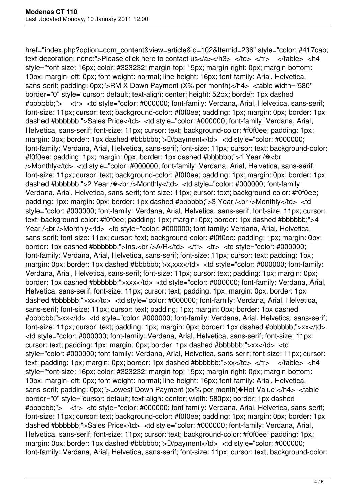href="index.php?option=com\_content&view=article&id=102&Itemid=236" style="color: #417cab; text-decoration: none;">Please click here to contact us</a></h3> </td> </tr> </table> <h4 style="font-size: 16px; color: #323232; margin-top: 15px; margin-right: 0px; margin-bottom: 10px; margin-left: 0px; font-weight: normal; line-height: 16px; font-family: Arial, Helvetica, sans-serif; padding: 0px;">RM X Down Payment (X% per month)</h4> <table width="580" border="0" style="cursor: default; text-align: center; height: 52px; border: 1px dashed #bbbbbb;"> <tr> <td style="color: #000000; font-family: Verdana, Arial, Helvetica, sans-serif; font-size: 11px; cursor: text; background-color: #f0f0ee; padding: 1px; margin: 0px; border: 1px dashed #bbbbbb;">Sales Price</td> <td style="color: #000000; font-family: Verdana, Arial, Helvetica, sans-serif; font-size: 11px; cursor: text; background-color: #f0f0ee; padding: 1px; margin: 0px; border: 1px dashed #bbbbbb;">D/payment</td> <td style="color: #000000; font-family: Verdana, Arial, Helvetica, sans-serif; font-size: 11px; cursor: text; background-color: #f0f0ee; padding: 1px; margin: 0px; border: 1px dashed #bbbbbb;">1 Year /�<br />Monthly</td> <td style="color: #000000; font-family: Verdana, Arial, Helvetica, sans-serif; font-size: 11px; cursor: text; background-color: #f0f0ee; padding: 1px; margin: 0px; border: 1px dashed #bbbbbb;">2 Year / $\triangleleft$  <br />Monthly</td> <td style="color: #000000; font-family: Verdana, Arial, Helvetica, sans-serif; font-size: 11px; cursor: text; background-color: #f0f0ee; padding: 1px; margin: 0px; border: 1px dashed #bbbbbb;">3 Year /<br />Monthly</td> <td style="color: #000000; font-family: Verdana, Arial, Helvetica, sans-serif; font-size: 11px; cursor: text; background-color: #f0f0ee; padding: 1px; margin: 0px; border: 1px dashed #bbbbbb;">4 Year /<br />Monthly</td> <td style="color: #000000; font-family: Verdana, Arial, Helvetica, sans-serif; font-size: 11px; cursor: text; background-color: #f0f0ee; padding: 1px; margin: 0px; border: 1px dashed #bbbbbb;">Ins.<br />br />A/R</td> </tr> <tr> <td style="color: #000000; font-family: Verdana, Arial, Helvetica, sans-serif; font-size: 11px; cursor: text; padding: 1px; margin: 0px; border: 1px dashed #bbbbbb;">x,xxx</td> <td style="color: #000000; font-family: Verdana, Arial, Helvetica, sans-serif; font-size: 11px; cursor: text; padding: 1px; margin: 0px; border: 1px dashed #bbbbbb;">xxx</td> <td style="color: #000000; font-family: Verdana, Arial, Helvetica, sans-serif; font-size: 11px; cursor: text; padding: 1px; margin: 0px; border: 1px dashed #bbbbbb;">xx</td> <td style="color: #000000; font-family: Verdana, Arial, Helvetica, sans-serif; font-size: 11px; cursor: text; padding: 1px; margin: 0px; border: 1px dashed #bbbbbb;">xx</td> <td style="color: #000000; font-family: Verdana, Arial, Helvetica, sans-serif; font-size: 11px; cursor: text; padding: 1px; margin: 0px; border: 1px dashed #bbbbbb;">xx</td> <td style="color: #000000; font-family: Verdana, Arial, Helvetica, sans-serif; font-size: 11px; cursor: text; padding: 1px; margin: 0px; border: 1px dashed #bbbbbb;">xx</td> <td style="color: #000000; font-family: Verdana, Arial, Helvetica, sans-serif; font-size: 11px; cursor: text; padding: 1px; margin: 0px; border: 1px dashed #bbbbbb;">xx</td> </tr> </table> <h4 style="font-size: 16px; color: #323232; margin-top: 15px; margin-right: 0px; margin-bottom: 10px; margin-left: 0px; font-weight: normal; line-height: 16px; font-family: Arial, Helvetica, sans-serif; padding: 0px;">Lowest Down Payment (xx% per month)�Hot Value!</h4> <table border="0" style="cursor: default; text-align: center; width: 580px; border: 1px dashed #bbbbbb;"> <tr> <td style="color: #000000; font-family: Verdana, Arial, Helvetica, sans-serif; font-size: 11px; cursor: text; background-color: #f0f0ee; padding: 1px; margin: 0px; border: 1px dashed #bbbbbb;">Sales Price</td> <td style="color: #000000; font-family: Verdana, Arial, Helvetica, sans-serif; font-size: 11px; cursor: text; background-color: #f0f0ee; padding: 1px; margin: 0px; border: 1px dashed #bbbbbb;">D/payment</td> <td style="color: #000000; font-family: Verdana, Arial, Helvetica, sans-serif; font-size: 11px; cursor: text; background-color: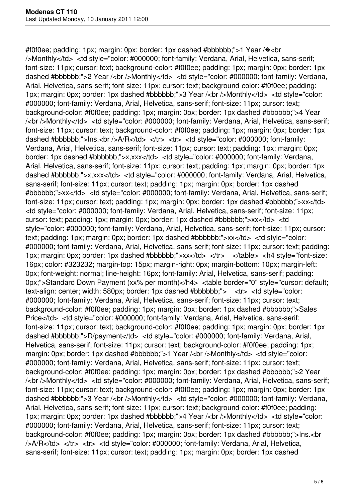#f0f0ee; padding: 1px; margin: 0px; border: 1px dashed #bbbbbb;">1 Year /�<br />Monthly</td> <td style="color: #000000; font-family: Verdana, Arial, Helvetica, sans-serif; font-size: 11px; cursor: text; background-color: #f0f0ee; padding: 1px; margin: 0px; border: 1px dashed #bbbbbb;">2 Year /<br />Monthly</td> <td style="color: #000000; font-family: Verdana, Arial, Helvetica, sans-serif; font-size: 11px; cursor: text; background-color: #f0f0ee; padding: 1px; margin: 0px; border: 1px dashed #bbbbbb;">3 Year /<br />Monthly</td> <td style="color: #000000; font-family: Verdana, Arial, Helvetica, sans-serif; font-size: 11px; cursor: text; background-color: #f0f0ee; padding: 1px; margin: 0px; border: 1px dashed #bbbbbb;">4 Year /<br />Monthly</td> <td style="color: #000000; font-family: Verdana, Arial, Helvetica, sans-serif; font-size: 11px; cursor: text; background-color: #f0f0ee; padding: 1px; margin: 0px; border: 1px dashed #bbbbbb;">Ins.<br />br />A/R</td> </tr> <tr> <td style="color: #000000; font-family: Verdana, Arial, Helvetica, sans-serif; font-size: 11px; cursor: text; padding: 1px; margin: 0px; border: 1px dashed #bbbbbb;">x,xxx</td> <td style="color: #000000; font-family: Verdana, Arial, Helvetica, sans-serif; font-size: 11px; cursor: text; padding: 1px; margin: 0px; border: 1px dashed #bbbbbb;">x,xxx</td> <td style="color: #000000; font-family: Verdana, Arial, Helvetica, sans-serif; font-size: 11px; cursor: text; padding: 1px; margin: 0px; border: 1px dashed #bbbbbb;">xx</td> <td style="color: #000000; font-family: Verdana, Arial, Helvetica, sans-serif; font-size: 11px; cursor: text; padding: 1px; margin: 0px; border: 1px dashed #bbbbbb;">xx</td> <td style="color: #000000; font-family: Verdana, Arial, Helvetica, sans-serif; font-size: 11px; cursor: text; padding: 1px; margin: 0px; border: 1px dashed #bbbbbb;">xx</td> <td style="color: #000000; font-family: Verdana, Arial, Helvetica, sans-serif; font-size: 11px; cursor: text; padding: 1px; margin: 0px; border: 1px dashed #bbbbbb;">xx</td> <td style="color: #000000; font-family: Verdana, Arial, Helvetica, sans-serif; font-size: 11px; cursor: text; padding: 1px; margin: 0px; border: 1px dashed #bbbbbb;">xx</td> </tr> </table> <h4 style="font-size: 16px; color: #323232; margin-top: 15px; margin-right: 0px; margin-bottom: 10px; margin-left: 0px; font-weight: normal; line-height: 16px; font-family: Arial, Helvetica, sans-serif; padding: 0px;">Standard Down Payment (xx% per month)</h4> <table border="0" style="cursor: default; text-align: center; width: 580px; border: 1px dashed #bbbbbb;"> <tr> <td style="color: #000000; font-family: Verdana, Arial, Helvetica, sans-serif; font-size: 11px; cursor: text; background-color: #f0f0ee; padding: 1px; margin: 0px; border: 1px dashed #bbbbbb;">Sales Price</td> <td style="color: #000000; font-family: Verdana, Arial, Helvetica, sans-serif; font-size: 11px; cursor: text; background-color: #f0f0ee; padding: 1px; margin: 0px; border: 1px dashed #bbbbbb;">D/payment</td> <td style="color: #000000; font-family: Verdana, Arial, Helvetica, sans-serif; font-size: 11px; cursor: text; background-color: #f0f0ee; padding: 1px; margin: 0px; border: 1px dashed #bbbbbb;">1 Year /<br />br />Monthly</td> <td style="color: #000000; font-family: Verdana, Arial, Helvetica, sans-serif; font-size: 11px; cursor: text; background-color: #f0f0ee; padding: 1px; margin: 0px; border: 1px dashed #bbbbbb;">2 Year /<br />Monthly</td> <td style="color: #000000; font-family: Verdana, Arial, Helvetica, sans-serif; font-size: 11px; cursor: text; background-color: #f0f0ee; padding: 1px; margin: 0px; border: 1px dashed #bbbbbb;">3 Year /<br />Monthly</td> <td style="color: #000000; font-family: Verdana, Arial, Helvetica, sans-serif; font-size: 11px; cursor: text; background-color: #f0f0ee; padding: 1px; margin: 0px; border: 1px dashed #bbbbbb;">4 Year /<br />Monthly</td> <td style="color: #000000; font-family: Verdana, Arial, Helvetica, sans-serif; font-size: 11px; cursor: text; background-color: #f0f0ee; padding: 1px; margin: 0px; border: 1px dashed #bbbbbb;">Ins.<br />A/R</td> </tr> <tr> <td style="color: #000000; font-family: Verdana, Arial, Helvetica, sans-serif; font-size: 11px; cursor: text; padding: 1px; margin: 0px; border: 1px dashed